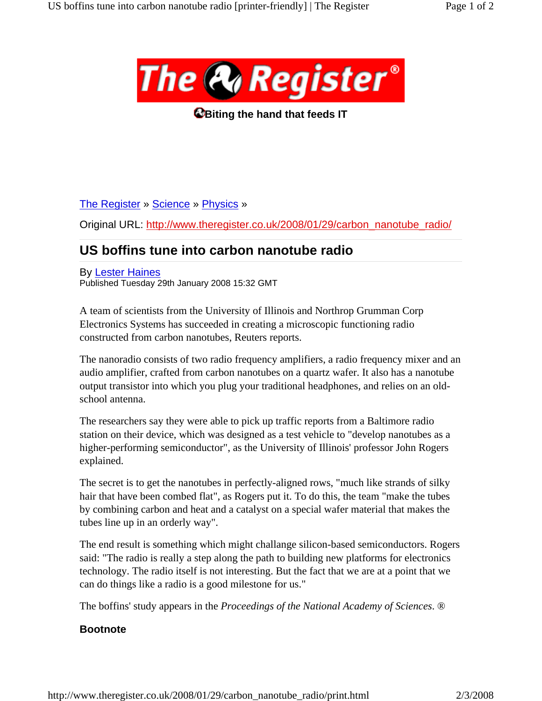

**Biting the hand that feeds IT** 

The Register » Science » Physics »

Original URL: http://www.theregister.co.uk/2008/01/29/carbon\_nanotube\_radio/

## **US boffins tune into carbon nanotube radio**

By Lester Haines Published Tuesday 29th January 2008 15:32 GMT

A team of scientists from the University of Illinois and Northrop Grumman Corp Electronics Systems has succeeded in creating a microscopic functioning radio constructed from carbon nanotubes, Reuters reports.

The nanoradio consists of two radio frequency amplifiers, a radio frequency mixer and an audio amplifier, crafted from carbon nanotubes on a quartz wafer. It also has a nanotube output transistor into which you plug your traditional headphones, and relies on an oldschool antenna.

The researchers say they were able to pick up traffic reports from a Baltimore radio station on their device, which was designed as a test vehicle to "develop nanotubes as a higher-performing semiconductor", as the University of Illinois' professor John Rogers explained.

The secret is to get the nanotubes in perfectly-aligned rows, "much like strands of silky hair that have been combed flat", as Rogers put it. To do this, the team "make the tubes by combining carbon and heat and a catalyst on a special wafer material that makes the tubes line up in an orderly way".

The end result is something which might challange silicon-based semiconductors. Rogers said: "The radio is really a step along the path to building new platforms for electronics technology. The radio itself is not interesting. But the fact that we are at a point that we can do things like a radio is a good milestone for us."

The boffins' study appears in the *Proceedings of the National Academy of Sciences*. ®

## **Bootnote**